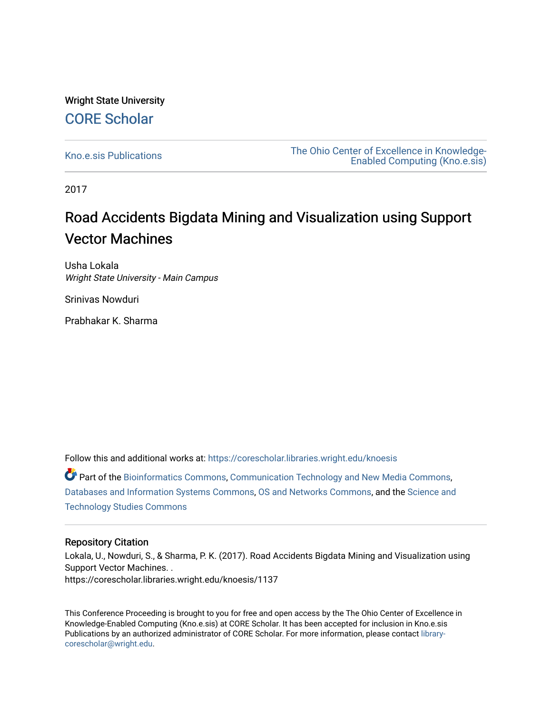## Wright State University [CORE Scholar](https://corescholar.libraries.wright.edu/)

[Kno.e.sis Publications](https://corescholar.libraries.wright.edu/knoesis) [The Ohio Center of Excellence in Knowledge-](https://corescholar.libraries.wright.edu/knoesis_comm)[Enabled Computing \(Kno.e.sis\)](https://corescholar.libraries.wright.edu/knoesis_comm) 

2017

# Road Accidents Bigdata Mining and Visualization using Support Vector Machines

Usha Lokala Wright State University - Main Campus

Srinivas Nowduri

Prabhakar K. Sharma

Follow this and additional works at: [https://corescholar.libraries.wright.edu/knoesis](https://corescholar.libraries.wright.edu/knoesis?utm_source=corescholar.libraries.wright.edu%2Fknoesis%2F1137&utm_medium=PDF&utm_campaign=PDFCoverPages) 

Part of the [Bioinformatics Commons,](http://network.bepress.com/hgg/discipline/110?utm_source=corescholar.libraries.wright.edu%2Fknoesis%2F1137&utm_medium=PDF&utm_campaign=PDFCoverPages) [Communication Technology and New Media Commons,](http://network.bepress.com/hgg/discipline/327?utm_source=corescholar.libraries.wright.edu%2Fknoesis%2F1137&utm_medium=PDF&utm_campaign=PDFCoverPages) [Databases and Information Systems Commons](http://network.bepress.com/hgg/discipline/145?utm_source=corescholar.libraries.wright.edu%2Fknoesis%2F1137&utm_medium=PDF&utm_campaign=PDFCoverPages), [OS and Networks Commons](http://network.bepress.com/hgg/discipline/149?utm_source=corescholar.libraries.wright.edu%2Fknoesis%2F1137&utm_medium=PDF&utm_campaign=PDFCoverPages), and the [Science and](http://network.bepress.com/hgg/discipline/435?utm_source=corescholar.libraries.wright.edu%2Fknoesis%2F1137&utm_medium=PDF&utm_campaign=PDFCoverPages) [Technology Studies Commons](http://network.bepress.com/hgg/discipline/435?utm_source=corescholar.libraries.wright.edu%2Fknoesis%2F1137&utm_medium=PDF&utm_campaign=PDFCoverPages) 

### Repository Citation

Lokala, U., Nowduri, S., & Sharma, P. K. (2017). Road Accidents Bigdata Mining and Visualization using Support Vector Machines. . https://corescholar.libraries.wright.edu/knoesis/1137

This Conference Proceeding is brought to you for free and open access by the The Ohio Center of Excellence in Knowledge-Enabled Computing (Kno.e.sis) at CORE Scholar. It has been accepted for inclusion in Kno.e.sis Publications by an authorized administrator of CORE Scholar. For more information, please contact [library](mailto:library-corescholar@wright.edu)[corescholar@wright.edu](mailto:library-corescholar@wright.edu).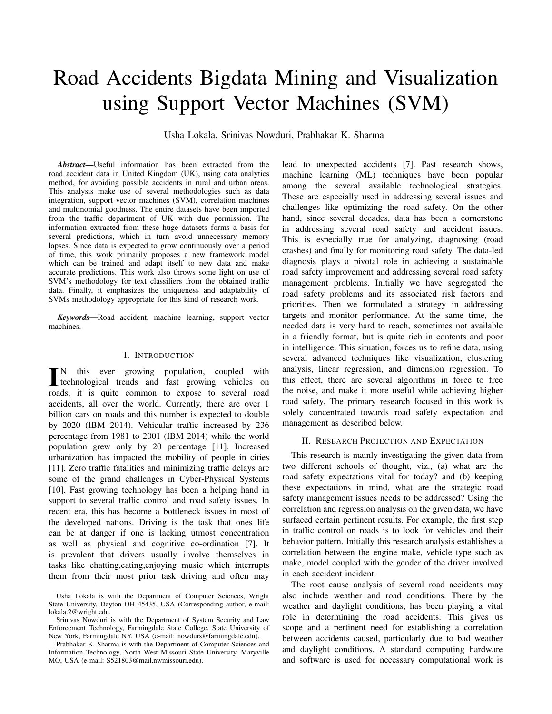# Road Accidents Bigdata Mining and Visualization using Support Vector Machines (SVM)

Usha Lokala, Srinivas Nowduri, Prabhakar K. Sharma

*Abstract*—Useful information has been extracted from the road accident data in United Kingdom (UK), using data analytics method, for avoiding possible accidents in rural and urban areas. This analysis make use of several methodologies such as data integration, support vector machines (SVM), correlation machines and multinomial goodness. The entire datasets have been imported from the traffic department of UK with due permission. The information extracted from these huge datasets forms a basis for several predictions, which in turn avoid unnecessary memory lapses. Since data is expected to grow continuously over a period of time, this work primarily proposes a new framework model which can be trained and adapt itself to new data and make accurate predictions. This work also throws some light on use of SVM's methodology for text classifiers from the obtained traffic data. Finally, it emphasizes the uniqueness and adaptability of SVMs methodology appropriate for this kind of research work.

*Keywords*—Road accident, machine learning, support vector machines.

#### I. INTRODUCTION

IN this ever growing population, coupled with<br>technological trends and fast growing vehicles on<br>match it is write assumed to suppose to support and N this ever growing population, coupled with roads, it is quite common to expose to several road accidents, all over the world. Currently, there are over 1 billion cars on roads and this number is expected to double by 2020 (IBM 2014). Vehicular traffic increased by 236 percentage from 1981 to 2001 (IBM 2014) while the world population grew only by 20 percentage [11]. Increased urbanization has impacted the mobility of people in cities [11]. Zero traffic fatalities and minimizing traffic delays are some of the grand challenges in Cyber-Physical Systems [10]. Fast growing technology has been a helping hand in support to several traffic control and road safety issues. In recent era, this has become a bottleneck issues in most of the developed nations. Driving is the task that ones life can be at danger if one is lacking utmost concentration as well as physical and cognitive co-ordination [7]. It is prevalent that drivers usually involve themselves in tasks like chatting,eating,enjoying music which interrupts them from their most prior task driving and often may

lead to unexpected accidents [7]. Past research shows, machine learning (ML) techniques have been popular among the several available technological strategies. These are especially used in addressing several issues and challenges like optimizing the road safety. On the other hand, since several decades, data has been a cornerstone in addressing several road safety and accident issues. This is especially true for analyzing, diagnosing (road crashes) and finally for monitoring road safety. The data-led diagnosis plays a pivotal role in achieving a sustainable road safety improvement and addressing several road safety management problems. Initially we have segregated the road safety problems and its associated risk factors and priorities. Then we formulated a strategy in addressing targets and monitor performance. At the same time, the needed data is very hard to reach, sometimes not available in a friendly format, but is quite rich in contents and poor in intelligence. This situation, forces us to refine data, using several advanced techniques like visualization, clustering analysis, linear regression, and dimension regression. To this effect, there are several algorithms in force to free the noise, and make it more useful while achieving higher road safety. The primary research focused in this work is solely concentrated towards road safety expectation and management as described below.

#### II. RESEARCH PROJECTION AND EXPECTATION

This research is mainly investigating the given data from two different schools of thought, viz., (a) what are the road safety expectations vital for today? and (b) keeping these expectations in mind, what are the strategic road safety management issues needs to be addressed? Using the correlation and regression analysis on the given data, we have surfaced certain pertinent results. For example, the first step in traffic control on roads is to look for vehicles and their behavior pattern. Initially this research analysis establishes a correlation between the engine make, vehicle type such as make, model coupled with the gender of the driver involved in each accident incident.

The root cause analysis of several road accidents may also include weather and road conditions. There by the weather and daylight conditions, has been playing a vital role in determining the road accidents. This gives us scope and a pertinent need for establishing a correlation between accidents caused, particularly due to bad weather and daylight conditions. A standard computing hardware and software is used for necessary computational work is

Usha Lokala is with the Department of Computer Sciences, Wright State University, Dayton OH 45435, USA (Corresponding author, e-mail: lokala.2@wright.edu.

Srinivas Nowduri is with the Department of System Security and Law Enforcement Technology, Farmingdale State College, State University of New York, Farmingdale NY, USA (e-mail: nowdurs@farmingdale.edu).

Prabhakar K. Sharma is with the Department of Computer Sciences and Information Technology, North West Missouri State University, Maryville MO, USA (e-mail: S521803@mail.nwmissouri.edu).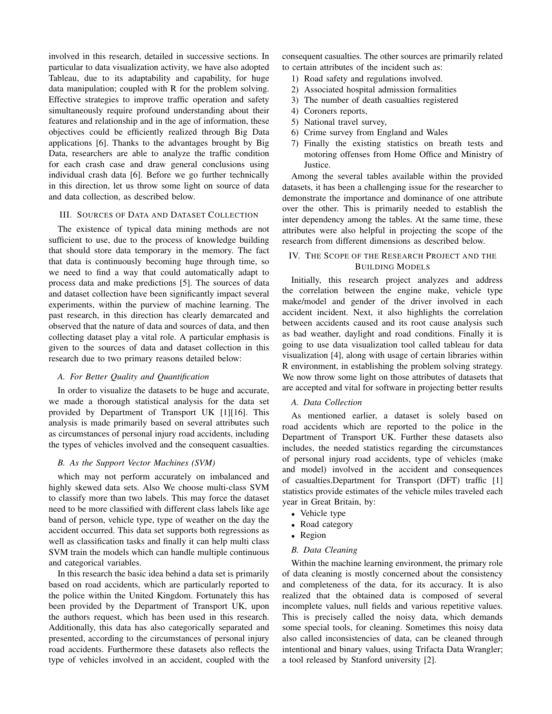involved in this research, detailed in successive sections. In particular to data visualization activity, we have also adopted Tableau, due to its adaptability and capability, for huge data manipulation; coupled with R for the problem solving. Effective strategies to improve traffic operation and safety simultaneously require profound understanding about their features and relationship and in the age of information, these objectives could be efficiently realized through Big Data applications [6]. Thanks to the advantages brought by Big Data, researchers are able to analyze the traffic condition for each crash case and draw general conclusions using individual crash data [6]. Before we go further technically in this direction, let us throw some light on source of data and data collection, as described below.

#### III. SOURCES OF DATA AND DATASET COLLECTION

The existence of typical data mining methods are not sufficient to use, due to the process of knowledge building that should store data temporary in the memory. The fact that data is continuously becoming huge through time, so we need to find a way that could automatically adapt to process data and make predictions [5]. The sources of data and dataset collection have been significantly impact several experiments, within the purview of machine learning. The past research, in this direction has clearly demarcated and observed that the nature of data and sources of data, and then collecting dataset play a vital role. A particular emphasis is given to the sources of data and dataset collection in this research due to two primary reasons detailed below:

#### *A. For Better Quality and Quantification*

In order to visualize the datasets to be huge and accurate, we made a thorough statistical analysis for the data set provided by Department of Transport UK [1][16]. This analysis is made primarily based on several attributes such as circumstances of personal injury road accidents, including the types of vehicles involved and the consequent casualties.

#### *B. As the Support Vector Machines (SVM)*

which may not perform accurately on imbalanced and highly skewed data sets. Also We choose multi-class SVM to classify more than two labels. This may force the dataset need to be more classified with different class labels like age band of person, vehicle type, type of weather on the day the accident occurred. This data set supports both regressions as well as classification tasks and finally it can help multi class SVM train the models which can handle multiple continuous and categorical variables.

In this research the basic idea behind a data set is primarily based on road accidents, which are particularly reported to the police within the United Kingdom. Fortunately this has been provided by the Department of Transport UK, upon the authors request, which has been used in this research. Additionally, this data has also categorically separated and presented, according to the circumstances of personal injury road accidents. Furthermore these datasets also reflects the type of vehicles involved in an accident, coupled with the

consequent casualties. The other sources are primarily related to certain attributes of the incident such as:

- 1) Road safety and regulations involved.
- 2) Associated hospital admission formalities
- 3) The number of death casualties registered
- 4) Coroners reports,
- 5) National travel survey,
- 6) Crime survey from England and Wales
- 7) Finally the existing statistics on breath tests and motoring offenses from Home Office and Ministry of Justice.

Among the several tables available within the provided datasets, it has been a challenging issue for the researcher to demonstrate the importance and dominance of one attribute over the other. This is primarily needed to establish the inter dependency among the tables. At the same time, these attributes were also helpful in projecting the scope of the research from different dimensions as described below.

#### IV. THE SCOPE OF THE RESEARCH PROJECT AND THE BUILDING MODELS

Initially, this research project analyzes and address the correlation between the engine make, vehicle type make/model and gender of the driver involved in each accident incident. Next, it also highlights the correlation between accidents caused and its root cause analysis such as bad weather, daylight and road conditions. Finally it is going to use data visualization tool called tableau for data visualization [4], along with usage of certain libraries within R environment, in establishing the problem solving strategy. We now throw some light on those attributes of datasets that are accepted and vital for software in projecting better results

#### *A. Data Collection*

As mentioned earlier, a dataset is solely based on road accidents which are reported to the police in the Department of Transport UK. Further these datasets also includes, the needed statistics regarding the circumstances of personal injury road accidents, type of vehicles (make and model) involved in the accident and consequences of casualties.Department for Transport (DFT) traffic [1] statistics provide estimates of the vehicle miles traveled each year in Great Britain, by:

- Vehicle type
- Road category
- Region

#### *B. Data Cleaning*

Within the machine learning environment, the primary role of data cleaning is mostly concerned about the consistency and completeness of the data, for its accuracy. It is also realized that the obtained data is composed of several incomplete values, null fields and various repetitive values. This is precisely called the noisy data, which demands some special tools, for cleaning. Sometimes this noisy data also called inconsistencies of data, can be cleaned through intentional and binary values, using Trifacta Data Wrangler; a tool released by Stanford university [2].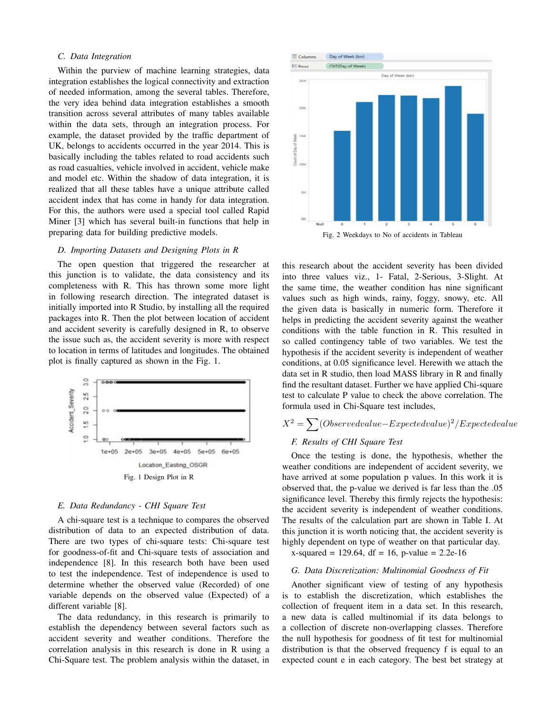#### *C. Data Integration*

Within the purview of machine learning strategies, data integration establishes the logical connectivity and extraction of needed information, among the several tables. Therefore, the very idea behind data integration establishes a smooth transition across several attributes of many tables available within the data sets, through an integration process. For example, the dataset provided by the traffic department of UK, belongs to accidents occurred in the year 2014. This is basically including the tables related to road accidents such as road casualties, vehicle involved in accident, vehicle make and model etc. Within the shadow of data integration, it is realized that all these tables have a unique attribute called accident index that has come in handy for data integration. For this, the authors were used a special tool called Rapid Miner [3] which has several built-in functions that help in preparing data for building predictive models.

#### *D. Importing Datasets and Designing Plots in R*

The open question that triggered the researcher at this junction is to validate, the data consistency and its completeness with R. This has thrown some more light in following research direction. The integrated dataset is initially imported into R Studio, by installing all the required packages into R. Then the plot between location of accident and accident severity is carefully designed in R, to observe the issue such as, the accident severity is more with respect to location in terms of latitudes and longitudes. The obtained plot is finally captured as shown in the Fig. 1.



#### *E. Data Redundancy - CHI Square Test*

A chi-square test is a technique to compares the observed distribution of data to an expected distribution of data. There are two types of chi-square tests: Chi-square test for goodness-of-fit and Chi-square tests of association and independence [8]. In this research both have been used to test the independence. Test of independence is used to determine whether the observed value (Recorded) of one variable depends on the observed value (Expected) of a different variable [8].

The data redundancy, in this research is primarily to establish the dependency between several factors such as accident severity and weather conditions. Therefore the correlation analysis in this research is done in R using a Chi-Square test. The problem analysis within the dataset, in



Fig. 2 Weekdays to No of accidents in Tableau

this research about the accident severity has been divided into three values viz., 1- Fatal, 2-Serious, 3-Slight. At the same time, the weather condition has nine significant values such as high winds, rainy, foggy, snowy, etc. All the given data is basically in numeric form. Therefore it helps in predicting the accident severity against the weather conditions with the table function in R. This resulted in so called contingency table of two variables. We test the hypothesis if the accident severity is independent of weather conditions, at 0.05 significance level. Herewith we attach the data set in R studio, then load MASS library in R and finally find the resultant dataset. Further we have applied Chi-square test to calculate P value to check the above correlation. The formula used in Chi-Square test includes,

## $X^2 = \sum_{n=0}^{N} (Observed value - Expected value)^2 / Expected value$

#### *F. Results of CHI Square Test*

Once the testing is done, the hypothesis, whether the weather conditions are independent of accident severity, we have arrived at some population p values. In this work it is observed that, the p-value we derived is far less than the .05 significance level. Thereby this firmly rejects the hypothesis: the accident severity is independent of weather conditions. The results of the calculation part are shown in Table I. At this junction it is worth noticing that, the accident severity is highly dependent on type of weather on that particular day.  $x$ -squared = 129.64, df = 16, p-value = 2.2e-16

#### *G. Data Discretization: Multinomial Goodness of Fit*

Another significant view of testing of any hypothesis is to establish the discretization, which establishes the collection of frequent item in a data set. In this research, a new data is called multinomial if its data belongs to a collection of discrete non-overlapping classes. Therefore the null hypothesis for goodness of fit test for multinomial distribution is that the observed frequency f is equal to an expected count e in each category. The best bet strategy at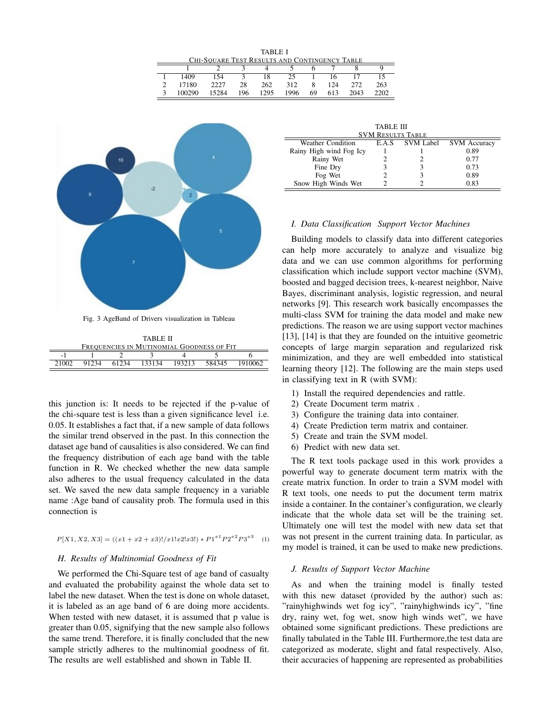TABLE I CHI-SQUARE TEST RESULTS AND CONTINGENCY TABLE 1 2 3 4 5 6 7 8 9

| 1 1409<br>154 3 18 25 1 16 17 15<br>2227 28 262 312 8 124 272 263<br>2 17180<br>3 100290 15284 196 1295 1996 69 613 2043 2202 |  | $\sim$ $\sim$ |  |  |  |  |
|-------------------------------------------------------------------------------------------------------------------------------|--|---------------|--|--|--|--|
|                                                                                                                               |  |               |  |  |  |  |
|                                                                                                                               |  |               |  |  |  |  |
|                                                                                                                               |  |               |  |  |  |  |



Fig. 3 AgeBand of Drivers visualization in Tableau

| TABLE II                                  |       |       |        |        |        |         |  |
|-------------------------------------------|-------|-------|--------|--------|--------|---------|--|
| FREQUENCIES IN MUTINOMIAL GOODNESS OF FIT |       |       |        |        |        |         |  |
| $\overline{\phantom{a}}$                  |       |       |        |        |        |         |  |
| 21002                                     | 91234 | 61234 | 133134 | 193213 | 584345 | 1910062 |  |

this junction is: It needs to be rejected if the p-value of the chi-square test is less than a given significance level i.e. 0.05. It establishes a fact that, if a new sample of data follows the similar trend observed in the past. In this connection the dataset age band of causalities is also considered. We can find the frequency distribution of each age band with the table function in R. We checked whether the new data sample also adheres to the usual frequency calculated in the data set. We saved the new data sample frequency in a variable name :Age band of causality prob. The formula used in this connection is

$$
P[X1, X2, X3] = ((x1 + x2 + x3)!/x1!x2!x3!) * P1^{x1}P2^{x2}P3^{x3}
$$
 (1)

#### *H. Results of Multinomial Goodness of Fit*

We performed the Chi-Square test of age band of casualty and evaluated the probability against the whole data set to label the new dataset. When the test is done on whole dataset, it is labeled as an age band of 6 are doing more accidents. When tested with new dataset, it is assumed that p value is greater than 0.05, signifying that the new sample also follows the same trend. Therefore, it is finally concluded that the new sample strictly adheres to the multinomial goodness of fit. The results are well established and shown in Table II.

| TABLE III                |       |                  |                     |  |  |  |
|--------------------------|-------|------------------|---------------------|--|--|--|
| <b>SVM RESULTS TABLE</b> |       |                  |                     |  |  |  |
| Weather Condition        | E.A.S | <b>SVM Label</b> | <b>SVM</b> Accuracy |  |  |  |
| Rainy High wind Fog Icy  |       |                  | 0.89                |  |  |  |
| Rainy Wet                |       |                  | 0.77                |  |  |  |
| Fine Dry                 |       |                  | 0.73                |  |  |  |
| Fog Wet                  |       |                  | 0.89                |  |  |  |
| Snow High Winds Wet      |       |                  | 0.83                |  |  |  |

#### *I. Data Classification Support Vector Machines*

Building models to classify data into different categories can help more accurately to analyze and visualize big data and we can use common algorithms for performing classification which include support vector machine (SVM), boosted and bagged decision trees, k-nearest neighbor, Naive Bayes, discriminant analysis, logistic regression, and neural networks [9]. This research work basically encompasses the multi-class SVM for training the data model and make new predictions. The reason we are using support vector machines [13], [14] is that they are founded on the intuitive geometric concepts of large margin separation and regularized risk minimization, and they are well embedded into statistical learning theory [12]. The following are the main steps used in classifying text in R (with SVM):

- 1) Install the required dependencies and rattle.
- 2) Create Document term matrix .
- 3) Configure the training data into container.
- 4) Create Prediction term matrix and container.
- 5) Create and train the SVM model.
- 6) Predict with new data set.

The R text tools package used in this work provides a powerful way to generate document term matrix with the create matrix function. In order to train a SVM model with R text tools, one needs to put the document term matrix inside a container. In the container's configuration, we clearly indicate that the whole data set will be the training set. Ultimately one will test the model with new data set that was not present in the current training data. In particular, as my model is trained, it can be used to make new predictions.

#### *J. Results of Support Vector Machine*

As and when the training model is finally tested with this new dataset (provided by the author) such as: "rainyhighwinds wet fog icy", "rainyhighwinds icy", "fine dry, rainy wet, fog wet, snow high winds wet", we have obtained some significant predictions. These predictions are finally tabulated in the Table III. Furthermore,the test data are categorized as moderate, slight and fatal respectively. Also, their accuracies of happening are represented as probabilities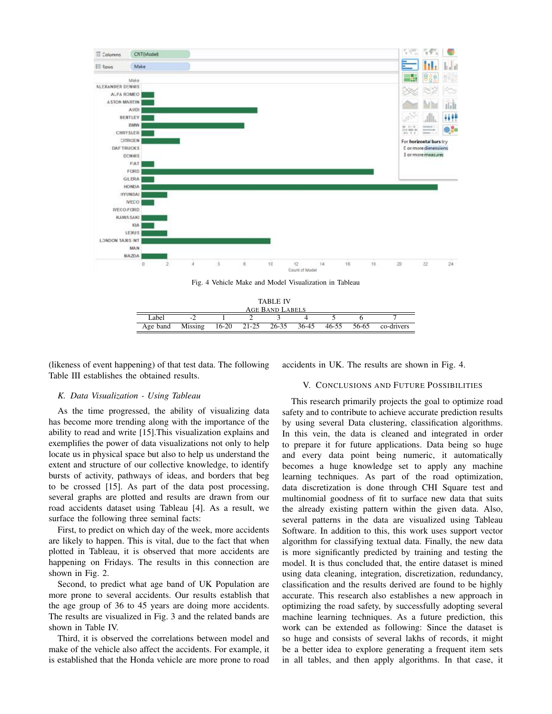

Fig. 4 Vehicle Make and Model Visualization in Tableau



(likeness of event happening) of that test data. The following Table III establishes the obtained results.

accidents in UK. The results are shown in Fig. 4.

#### *K. Data Visualization - Using Tableau*

As the time progressed, the ability of visualizing data has become more trending along with the importance of the ability to read and write [15].This visualization explains and exemplifies the power of data visualizations not only to help locate us in physical space but also to help us understand the extent and structure of our collective knowledge, to identify bursts of activity, pathways of ideas, and borders that beg to be crossed [15]. As part of the data post processing, several graphs are plotted and results are drawn from our road accidents dataset using Tableau [4]. As a result, we surface the following three seminal facts:

First, to predict on which day of the week, more accidents are likely to happen. This is vital, due to the fact that when plotted in Tableau, it is observed that more accidents are happening on Fridays. The results in this connection are shown in Fig. 2.

Second, to predict what age band of UK Population are more prone to several accidents. Our results establish that the age group of 36 to 45 years are doing more accidents. The results are visualized in Fig. 3 and the related bands are shown in Table IV.

Third, it is observed the correlations between model and make of the vehicle also affect the accidents. For example, it is established that the Honda vehicle are more prone to road

#### V. CONCLUSIONS AND FUTURE POSSIBILITIES

This research primarily projects the goal to optimize road safety and to contribute to achieve accurate prediction results by using several Data clustering, classification algorithms. In this vein, the data is cleaned and integrated in order to prepare it for future applications. Data being so huge and every data point being numeric, it automatically becomes a huge knowledge set to apply any machine learning techniques. As part of the road optimization, data discretization is done through CHI Square test and multinomial goodness of fit to surface new data that suits the already existing pattern within the given data. Also, several patterns in the data are visualized using Tableau Software. In addition to this, this work uses support vector algorithm for classifying textual data. Finally, the new data is more significantly predicted by training and testing the model. It is thus concluded that, the entire dataset is mined using data cleaning, integration, discretization, redundancy, classification and the results derived are found to be highly accurate. This research also establishes a new approach in optimizing the road safety, by successfully adopting several machine learning techniques. As a future prediction, this work can be extended as following: Since the dataset is so huge and consists of several lakhs of records, it might be a better idea to explore generating a frequent item sets in all tables, and then apply algorithms. In that case, it